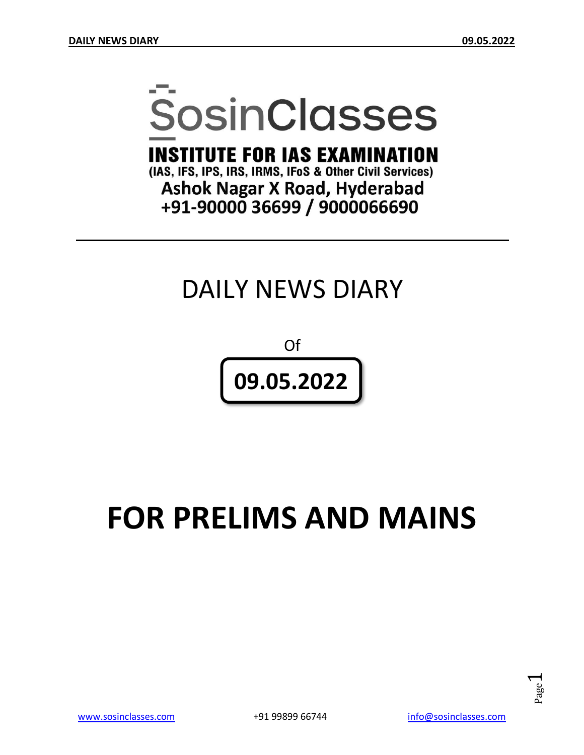# **SosinClasses**

**INSTITUTE FOR IAS EXAMINATION** 

(IAS, IFS, IPS, IRS, IRMS, IFoS & Other Civil Services) **Ashok Nagar X Road, Hyderabad** +91-90000 36699 / 9000066690

# DAILY NEWS DIARY

Of **09.05.2022**

# **FOR PRELIMS AND MAINS**

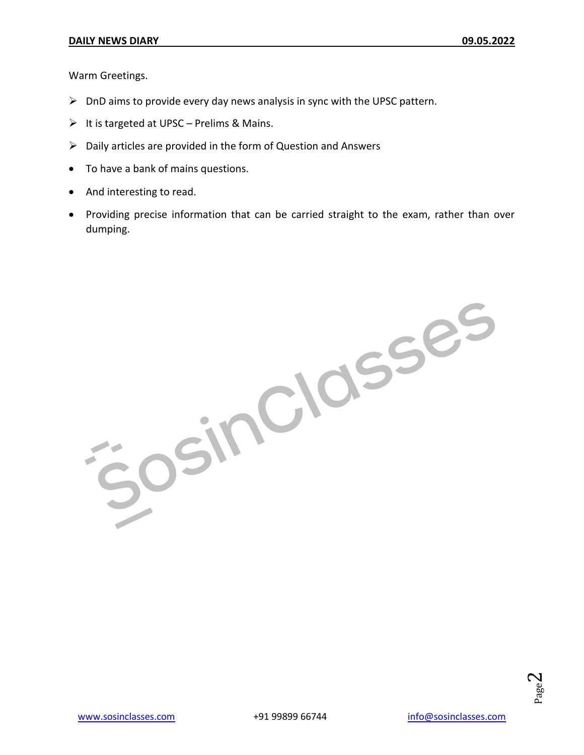Warm Greetings.

- $\triangleright$  DnD aims to provide every day news analysis in sync with the UPSC pattern.
- $\triangleright$  It is targeted at UPSC Prelims & Mains.
- $\triangleright$  Daily articles are provided in the form of Question and Answers
- To have a bank of mains questions.
- And interesting to read.
- Providing precise information that can be carried straight to the exam, rather than over dumping.

Josinciasses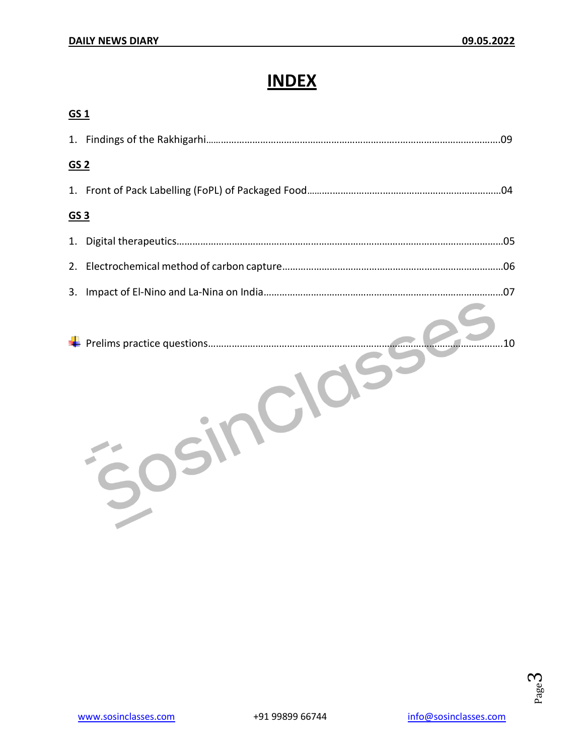# **INDEX**

| GS <sub>1</sub> |    |
|-----------------|----|
|                 |    |
| GS <sub>2</sub> |    |
|                 |    |
| GS <sub>3</sub> |    |
| 1.              |    |
| 2.              |    |
| 3.              |    |
|                 | 10 |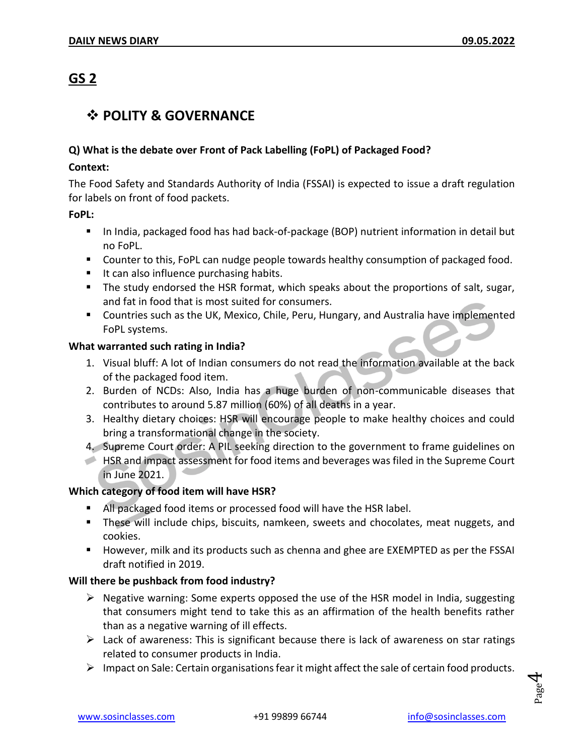# **GS 2**

#### **POLITY & GOVERNANCE**

#### **Q) What is the debate over Front of Pack Labelling (FoPL) of Packaged Food?**

#### **Context:**

The Food Safety and Standards Authority of India (FSSAI) is expected to issue a draft regulation for labels on front of food packets.

#### **FoPL:**

- In India, packaged food has had back-of-package (BOP) nutrient information in detail but no FoPL.
- **Counter to this, FoPL can nudge people towards healthy consumption of packaged food.**
- $\blacksquare$  It can also influence purchasing habits.
- The study endorsed the HSR format, which speaks about the proportions of salt, sugar, and fat in food that is most suited for consumers.
- Countries such as the UK, Mexico, Chile, Peru, Hungary, and Australia have implemented FoPL systems.

#### **What warranted such rating in India?**

- 1. Visual bluff: A lot of Indian consumers do not read the information available at the back of the packaged food item.
- 2. Burden of NCDs: Also, India has a huge burden of non-communicable diseases that contributes to around 5.87 million (60%) of all deaths in a year.
- 3. Healthy dietary choices: HSR will encourage people to make healthy choices and could bring a transformational change in the society.

4. Supreme Court order: A PIL seeking direction to the government to frame guidelines on

HSR and impact assessment for food items and beverages was filed in the Supreme Court in June 2021.

#### **Which category of food item will have HSR?**

- All packaged food items or processed food will have the HSR label.
- These will include chips, biscuits, namkeen, sweets and chocolates, meat nuggets, and cookies.
- **However, milk and its products such as chenna and ghee are EXEMPTED as per the FSSAI** draft notified in 2019.

#### **Will there be pushback from food industry?**

- $\triangleright$  Negative warning: Some experts opposed the use of the HSR model in India, suggesting that consumers might tend to take this as an affirmation of the health benefits rather than as a negative warning of ill effects.
- $\triangleright$  Lack of awareness: This is significant because there is lack of awareness on star ratings related to consumer products in India.
- $\triangleright$  Impact on Sale: Certain organisations fear it might affect the sale of certain food products.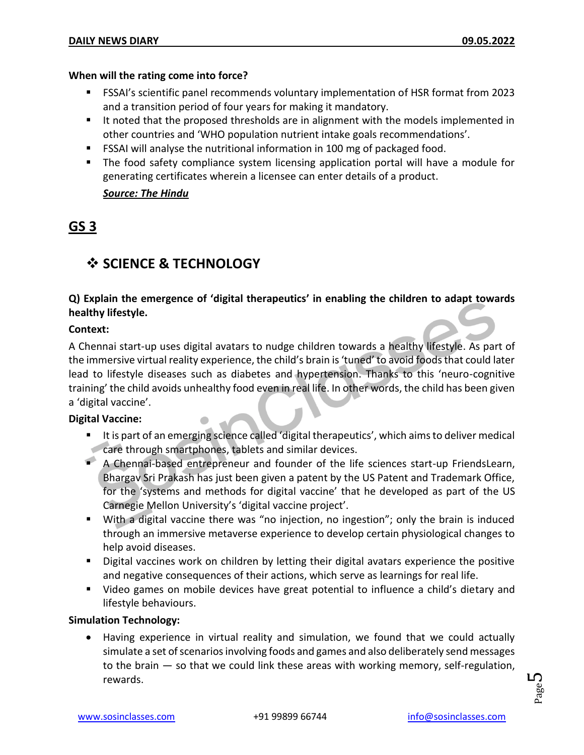#### **When will the rating come into force?**

- FSSAI's scientific panel recommends voluntary implementation of HSR format from 2023 and a transition period of four years for making it mandatory.
- It noted that the proposed thresholds are in alignment with the models implemented in other countries and 'WHO population nutrient intake goals recommendations'.
- FSSAI will analyse the nutritional information in 100 mg of packaged food.
- **The food safety compliance system licensing application portal will have a module for** generating certificates wherein a licensee can enter details of a product.

#### *Source: The Hindu*

# **GS 3**

### **SCIENCE & TECHNOLOGY**

#### **Q) Explain the emergence of 'digital therapeutics' in enabling the children to adapt towards healthy lifestyle.**

#### **Context:**

A Chennai start-up uses digital avatars to nudge children towards a healthy lifestyle. As part of the immersive virtual reality experience, the child's brain is 'tuned' to avoid foods that could later lead to lifestyle diseases such as diabetes and hypertension. Thanks to this 'neuro-cognitive training' the child avoids unhealthy food even in real life. In other words, the child has been given a 'digital vaccine'.

#### **Digital Vaccine:**

- It is part of an emerging science called 'digital therapeutics', which aims to deliver medical care through smartphones, tablets and similar devices.
- A Chennai-based entrepreneur and founder of the life sciences start-up FriendsLearn, Bhargav Sri Prakash has just been given a patent by the US Patent and Trademark Office, for the 'systems and methods for digital vaccine' that he developed as part of the US Carnegie Mellon University's 'digital vaccine project'.
- With a digital vaccine there was "no injection, no ingestion"; only the brain is induced through an immersive metaverse experience to develop certain physiological changes to help avoid diseases.
- Digital vaccines work on children by letting their digital avatars experience the positive and negative consequences of their actions, which serve as learnings for real life.
- Video games on mobile devices have great potential to influence a child's dietary and lifestyle behaviours.

#### **Simulation Technology:**

 Having experience in virtual reality and simulation, we found that we could actually simulate a set of scenarios involving foods and games and also deliberately send messages to the brain — so that we could link these areas with working memory, self-regulation, rewards.

Page L∩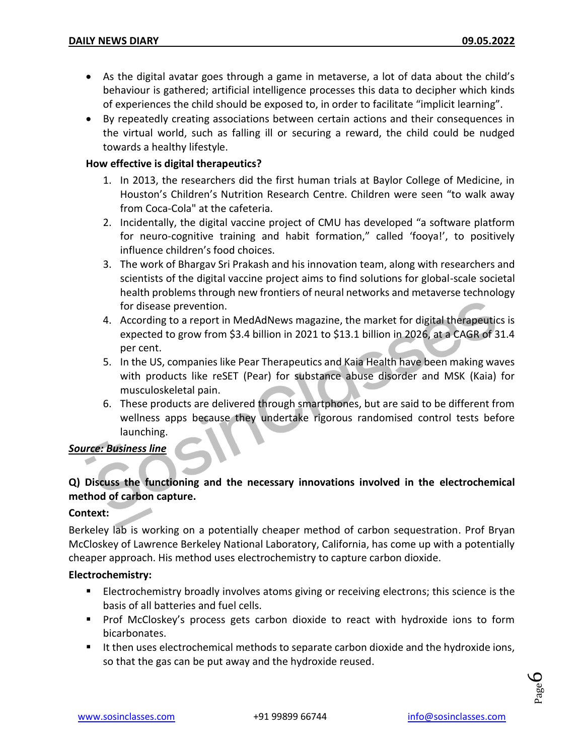- As the digital avatar goes through a game in metaverse, a lot of data about the child's behaviour is gathered; artificial intelligence processes this data to decipher which kinds of experiences the child should be exposed to, in order to facilitate "implicit learning".
- By repeatedly creating associations between certain actions and their consequences in the virtual world, such as falling ill or securing a reward, the child could be nudged towards a healthy lifestyle.

#### **How effective is digital therapeutics?**

- 1. In 2013, the researchers did the first human trials at Baylor College of Medicine, in Houston's Children's Nutrition Research Centre. Children were seen "to walk away from Coca-Cola" at the cafeteria.
- 2. Incidentally, the digital vaccine project of CMU has developed "a software platform for neuro-cognitive training and habit formation," called 'fooya!', to positively influence children's food choices.
- 3. The work of Bhargav Sri Prakash and his innovation team, along with researchers and scientists of the digital vaccine project aims to find solutions for global-scale societal health problems through new frontiers of neural networks and metaverse technology for disease prevention.
- 4. According to a report in MedAdNews magazine, the market for digital therapeutics is expected to grow from \$3.4 billion in 2021 to \$13.1 billion in 2026, at a CAGR of 31.4 per cent.
- 5. In the US, companies like Pear Therapeutics and Kaia Health have been making waves with products like reSET (Pear) for substance abuse disorder and MSK (Kaia) for musculoskeletal pain.
- 6. These products are delivered through smartphones, but are said to be different from wellness apps because they undertake rigorous randomised control tests before launching.

#### *Source: Business line*

#### **Q) Discuss the functioning and the necessary innovations involved in the electrochemical method of carbon capture.**

#### **Context:**

Berkeley lab is working on a potentially cheaper method of carbon sequestration. Prof Bryan McCloskey of Lawrence Berkeley National Laboratory, California, has come up with a potentially cheaper approach. His method uses electrochemistry to capture carbon dioxide.

#### **Electrochemistry:**

- **Electrochemistry broadly involves atoms giving or receiving electrons; this science is the** basis of all batteries and fuel cells.
- **Prof McCloskey's process gets carbon dioxide to react with hydroxide ions to form** bicarbonates.
- It then uses electrochemical methods to separate carbon dioxide and the hydroxide ions, so that the gas can be put away and the hydroxide reused.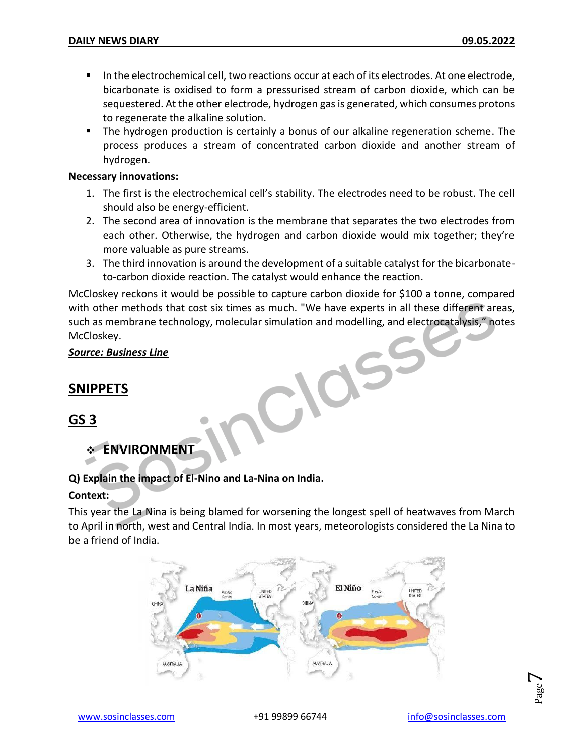- In the electrochemical cell, two reactions occur at each of its electrodes. At one electrode, bicarbonate is oxidised to form a pressurised stream of carbon dioxide, which can be sequestered. At the other electrode, hydrogen gas is generated, which consumes protons to regenerate the alkaline solution.
- The hydrogen production is certainly a bonus of our alkaline regeneration scheme. The process produces a stream of concentrated carbon dioxide and another stream of hydrogen.

#### **Necessary innovations:**

- 1. The first is the electrochemical cell's stability. The electrodes need to be robust. The cell should also be energy-efficient.
- 2. The second area of innovation is the membrane that separates the two electrodes from each other. Otherwise, the hydrogen and carbon dioxide would mix together; they're more valuable as pure streams.
- 3. The third innovation is around the development of a suitable catalyst for the bicarbonateto-carbon dioxide reaction. The catalyst would enhance the reaction.

McCloskey reckons it would be possible to capture carbon dioxide for \$100 a tonne, compared with other methods that cost six times as much. "We have experts in all these different areas, such as membrane technology, molecular simulation and modelling, and electrocatalysis," notes McCloskey.

CN

#### *Source: Business Line*

#### **SNIPPETS**

**GS 3**

**ENVIRONMENT**

#### **Q) Explain the impact of El-Nino and La-Nina on India.**

#### **Context:**

This year the La Nina is being blamed for worsening the longest spell of heatwaves from March to April in north, west and Central India. In most years, meteorologists considered the La Nina to be a friend of India.



Page  $\overline{\phantom{0}}$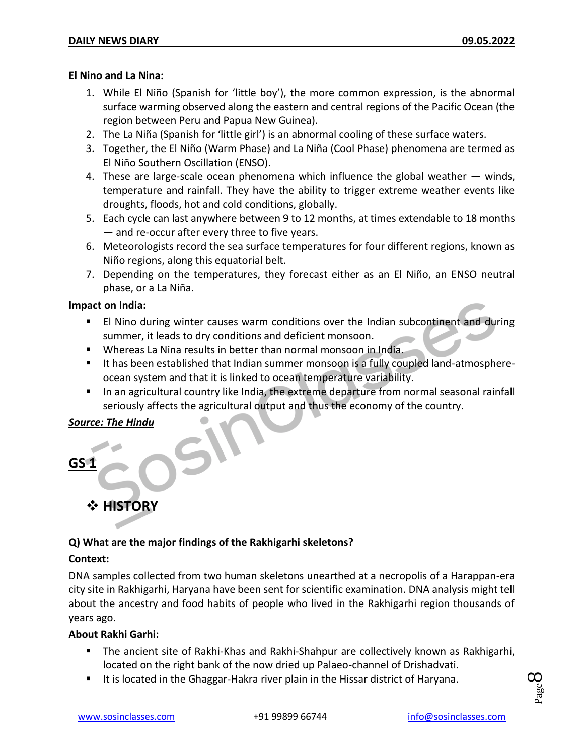#### **El Nino and La Nina:**

- 1. While El Niño (Spanish for 'little boy'), the more common expression, is the abnormal surface warming observed along the eastern and central regions of the Pacific Ocean (the region between Peru and Papua New Guinea).
- 2. The La Niña (Spanish for 'little girl') is an abnormal cooling of these surface waters.
- 3. Together, the El Niño (Warm Phase) and La Niña (Cool Phase) phenomena are termed as El Niño Southern Oscillation (ENSO).
- 4. These are large-scale ocean phenomena which influence the global weather  $-$  winds, temperature and rainfall. They have the ability to trigger extreme weather events like droughts, floods, hot and cold conditions, globally.
- 5. Each cycle can last anywhere between 9 to 12 months, at times extendable to 18 months — and re-occur after every three to five years.
- 6. Meteorologists record the sea surface temperatures for four different regions, known as Niño regions, along this equatorial belt.
- 7. Depending on the temperatures, they forecast either as an El Niño, an ENSO neutral phase, or a La Niña.

#### **Impact on India:**

- El Nino during winter causes warm conditions over the Indian subcontinent and during summer, it leads to dry conditions and deficient monsoon.
- Whereas La Nina results in better than normal monsoon in India.
- It has been established that Indian summer monsoon is a fully coupled land-atmosphereocean system and that it is linked to ocean temperature variability.
- In an agricultural country like India, the extreme departure from normal seasonal rainfall seriously affects the agricultural output and thus the economy of the country.

#### *Source: The Hindu*



# **HISTORY**

#### **Q) What are the major findings of the Rakhigarhi skeletons?**

#### **Context:**

DNA samples collected from two human skeletons unearthed at a necropolis of a Harappan-era city site in Rakhigarhi, Haryana have been sent for scientific examination. DNA analysis might tell about the ancestry and food habits of people who lived in the Rakhigarhi region thousands of years ago.

#### **About Rakhi Garhi:**

- The ancient site of Rakhi-Khas and Rakhi-Shahpur are collectively known as Rakhigarhi, located on the right bank of the now dried up Palaeo-channel of Drishadvati.
- It is located in the Ghaggar-Hakra river plain in the Hissar district of Haryana.

Page  $\infty$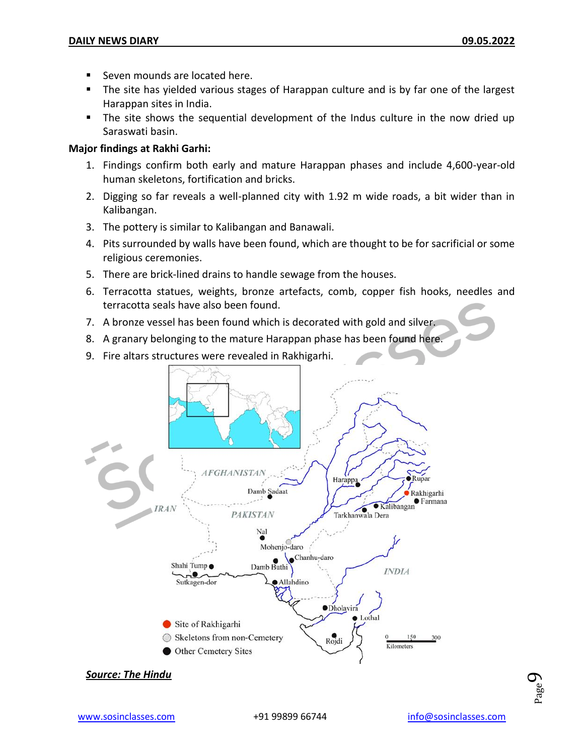- Seven mounds are located here.
- The site has yielded various stages of Harappan culture and is by far one of the largest Harappan sites in India.
- The site shows the sequential development of the Indus culture in the now dried up Saraswati basin.

#### **Major findings at Rakhi Garhi:**

- 1. Findings confirm both early and mature Harappan phases and include 4,600-year-old human skeletons, fortification and bricks.
- 2. Digging so far reveals a well-planned city with 1.92 m wide roads, a bit wider than in Kalibangan.
- 3. The pottery is similar to Kalibangan and Banawali.
- 4. Pits surrounded by walls have been found, which are thought to be for sacrificial or some religious ceremonies.
- 5. There are brick-lined drains to handle sewage from the houses.
- 6. Terracotta statues, weights, bronze artefacts, comb, copper fish hooks, needles and terracotta seals have also been found.
- 7. A bronze vessel has been found which is decorated with gold and silver.
- 8. A granary belonging to the mature Harappan phase has been found here.
- 9. Fire altars structures were revealed in Rakhigarhi.





Page  $\sigma$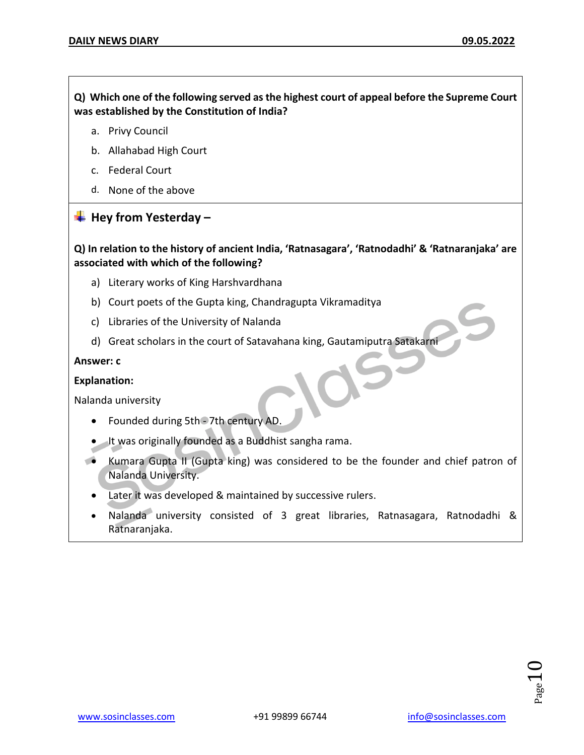**Q) Which one of the following served as the highest court of appeal before the Supreme Court was established by the Constitution of India?**

- a. Privy Council
- b. Allahabad High Court
- c. Federal Court
- d. None of the above

#### **Hey from Yesterday –**

**Q) In relation to the history of ancient India, 'Ratnasagara', 'Ratnodadhi' & 'Ratnaranjaka' are associated with which of the following?**

- a) Literary works of King Harshvardhana
- b) Court poets of the Gupta king, Chandragupta Vikramaditya
- c) Libraries of the University of Nalanda
- d) Great scholars in the court of Satavahana king, Gautamiputra Satakarni

#### **Answer: c**

**Explanation:**

Nalanda university

- Founded during 5th 7th century AD.
- It was originally founded as a Buddhist sangha rama.
- Kumara Gupta II (Gupta king) was considered to be the founder and chief patron of Nalanda University.
	- Later it was developed & maintained by successive rulers.
	- Nalanda university consisted of 3 great libraries, Ratnasagara, Ratnodadhi & Ratnaranjaka.